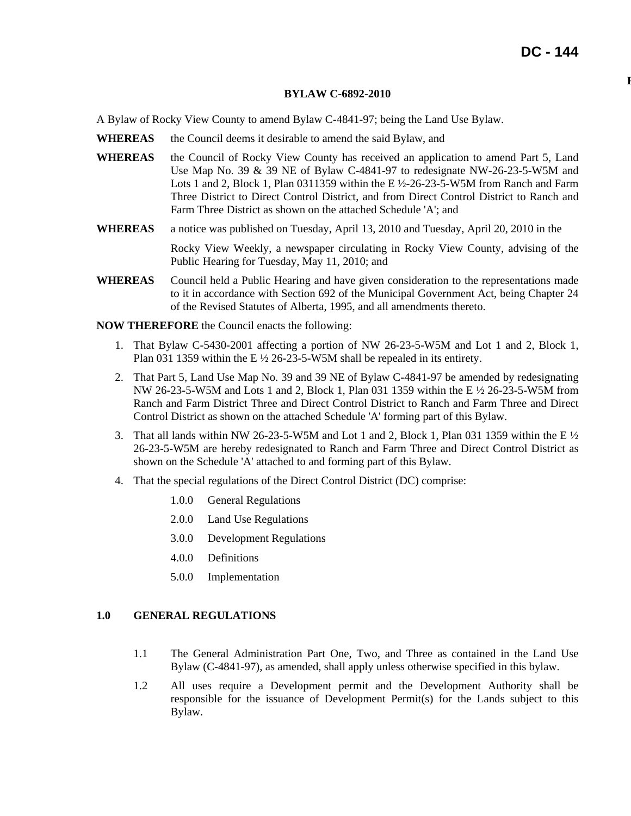**R**

#### **BYLAW C-6892-2010**

A Bylaw of Rocky View County to amend Bylaw C-4841-97; being the Land Use Bylaw.

- **WHEREAS** the Council deems it desirable to amend the said Bylaw, and
- **WHEREAS** the Council of Rocky View County has received an application to amend Part 5, Land Use Map No. 39 & 39 NE of Bylaw C-4841-97 to redesignate NW-26-23-5-W5M and Lots 1 and 2, Block 1, Plan 0311359 within the E ½-26-23-5-W5M from Ranch and Farm Three District to Direct Control District, and from Direct Control District to Ranch and Farm Three District as shown on the attached Schedule 'A'; and
- **WHEREAS** a notice was published on Tuesday, April 13, 2010 and Tuesday, April 20, 2010 in the Rocky View Weekly, a newspaper circulating in Rocky View County, advising of the Public Hearing for Tuesday, May 11, 2010; and
- **WHEREAS** Council held a Public Hearing and have given consideration to the representations made to it in accordance with Section 692 of the Municipal Government Act, being Chapter 24 of the Revised Statutes of Alberta, 1995, and all amendments thereto.

**NOW THEREFORE** the Council enacts the following:

- 1. That Bylaw C-5430-2001 affecting a portion of NW 26-23-5-W5M and Lot 1 and 2, Block 1, Plan 031 1359 within the E ½ 26-23-5-W5M shall be repealed in its entirety.
- 2. That Part 5, Land Use Map No. 39 and 39 NE of Bylaw C-4841-97 be amended by redesignating NW 26-23-5-W5M and Lots 1 and 2, Block 1, Plan 031 1359 within the E ½ 26-23-5-W5M from Ranch and Farm District Three and Direct Control District to Ranch and Farm Three and Direct Control District as shown on the attached Schedule 'A' forming part of this Bylaw.
- 3. That all lands within NW 26-23-5-W5M and Lot 1 and 2, Block 1, Plan 031 1359 within the E ½ 26-23-5-W5M are hereby redesignated to Ranch and Farm Three and Direct Control District as shown on the Schedule 'A' attached to and forming part of this Bylaw.
- 4. That the special regulations of the Direct Control District (DC) comprise:
	- 1.0.0 General Regulations
	- 2.0.0 Land Use Regulations
	- 3.0.0 Development Regulations
	- 4.0.0 Definitions
	- 5.0.0 Implementation

#### **1.0 GENERAL REGULATIONS**

- 1.1 The General Administration Part One, Two, and Three as contained in the Land Use Bylaw (C-4841-97), as amended, shall apply unless otherwise specified in this bylaw.
- 1.2 All uses require a Development permit and the Development Authority shall be responsible for the issuance of Development Permit(s) for the Lands subject to this Bylaw.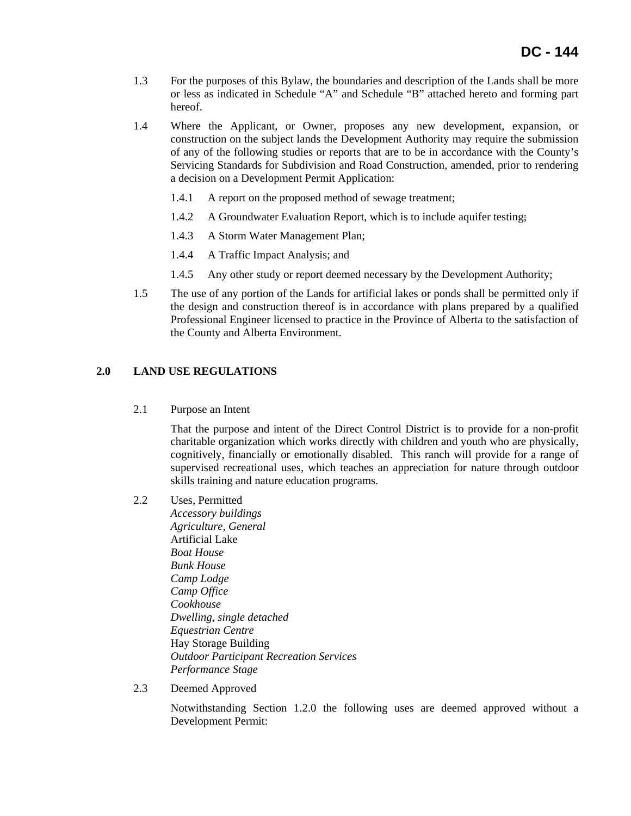- 1.3 For the purposes of this Bylaw, the boundaries and description of the Lands shall be more or less as indicated in Schedule "A" and Schedule "B" attached hereto and forming part hereof.
- 1.4 Where the Applicant, or Owner, proposes any new development, expansion, or construction on the subject lands the Development Authority may require the submission of any of the following studies or reports that are to be in accordance with the County's Servicing Standards for Subdivision and Road Construction, amended, prior to rendering a decision on a Development Permit Application:
	- 1.4.1 A report on the proposed method of sewage treatment;
	- 1.4.2 A Groundwater Evaluation Report, which is to include aquifer testing;
	- 1.4.3 A Storm Water Management Plan;
	- 1.4.4 A Traffic Impact Analysis; and
	- 1.4.5 Any other study or report deemed necessary by the Development Authority;
- 1.5 The use of any portion of the Lands for artificial lakes or ponds shall be permitted only if the design and construction thereof is in accordance with plans prepared by a qualified Professional Engineer licensed to practice in the Province of Alberta to the satisfaction of the County and Alberta Environment.

## **2.0 LAND USE REGULATIONS**

2.1 Purpose an Intent

That the purpose and intent of the Direct Control District is to provide for a non-profit charitable organization which works directly with children and youth who are physically, cognitively, financially or emotionally disabled. This ranch will provide for a range of supervised recreational uses, which teaches an appreciation for nature through outdoor skills training and nature education programs.

- 2.2 Uses, Permitted
	- *Accessory buildings Agriculture, General*  Artificial Lake *Boat House Bunk House Camp Lodge Camp Office Cookhouse Dwelling, single detached Equestrian Centre*  Hay Storage Building *Outdoor Participant Recreation Services Performance Stage*
- 2.3 Deemed Approved

Notwithstanding Section 1.2.0 the following uses are deemed approved without a Development Permit: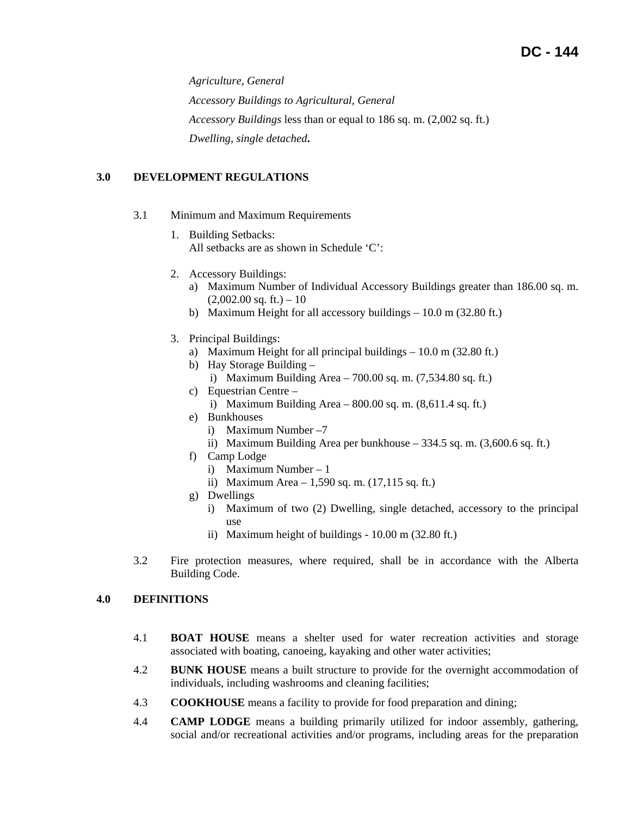*Agriculture, General Accessory Buildings to Agricultural, General Accessory Buildings* less than or equal to 186 sq. m. (2,002 sq. ft.) *Dwelling, single detached***.** 

## **3.0 DEVELOPMENT REGULATIONS**

- 3.1 Minimum and Maximum Requirements
	- 1. Building Setbacks: All setbacks are as shown in Schedule 'C':
	- 2. Accessory Buildings:
		- a) Maximum Number of Individual Accessory Buildings greater than 186.00 sq. m.  $(2,002.00 \text{ sq. ft.}) - 10$
		- b) Maximum Height for all accessory buildings 10.0 m (32.80 ft.)
	- 3. Principal Buildings:
		- a) Maximum Height for all principal buildings 10.0 m (32.80 ft.)
		- b) Hay Storage Building
			- i) Maximum Building Area 700.00 sq. m. (7,534.80 sq. ft.)
		- c) Equestrian Centre
			- i) Maximum Building Area  $800.00$  sq. m.  $(8,611.4 \text{ sq. ft.})$
		- e) Bunkhouses
			- i) Maximum Number –7
			- ii) Maximum Building Area per bunkhouse 334.5 sq. m. (3,600.6 sq. ft.)
		- f) Camp Lodge
			- i) Maximum Number 1
			- ii) Maximum Area 1,590 sq. m. (17,115 sq. ft.)
		- g) Dwellings
			- i) Maximum of two (2) Dwelling, single detached, accessory to the principal use
			- ii) Maximum height of buildings 10.00 m (32.80 ft.)
- 3.2 Fire protection measures, where required, shall be in accordance with the Alberta Building Code.

#### **4.0 DEFINITIONS**

- 4.1 **BOAT HOUSE** means a shelter used for water recreation activities and storage associated with boating, canoeing, kayaking and other water activities;
- 4.2 **BUNK HOUSE** means a built structure to provide for the overnight accommodation of individuals, including washrooms and cleaning facilities;
- 4.3 **COOKHOUSE** means a facility to provide for food preparation and dining;
- 4.4 **CAMP LODGE** means a building primarily utilized for indoor assembly, gathering, social and/or recreational activities and/or programs, including areas for the preparation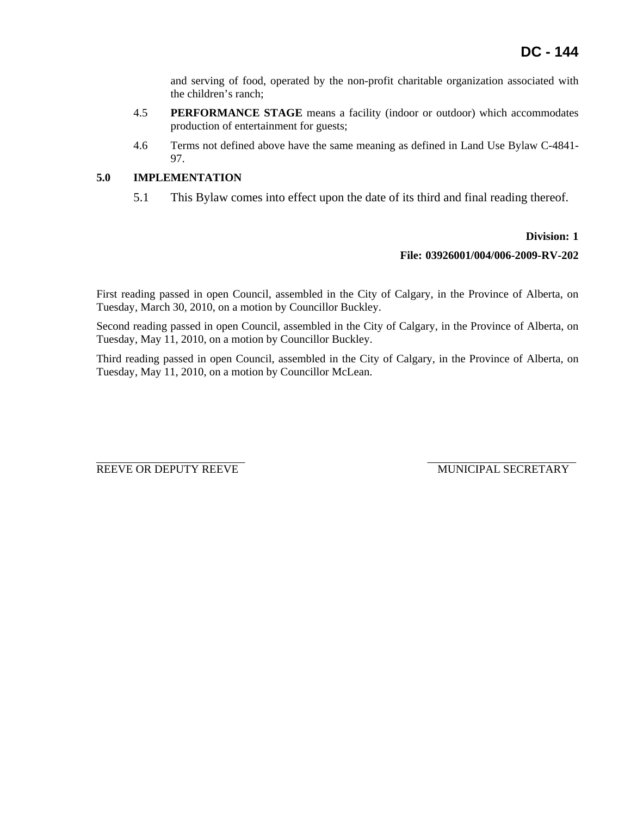and serving of food, operated by the non-profit charitable organization associated with the children's ranch;

- 4.5 **PERFORMANCE STAGE** means a facility (indoor or outdoor) which accommodates production of entertainment for guests;
- 4.6 Terms not defined above have the same meaning as defined in Land Use Bylaw C-4841- 97.

# **5.0 IMPLEMENTATION**

5.1 This Bylaw comes into effect upon the date of its third and final reading thereof.

### **Division: 1**

### **File: 03926001/004/006-2009-RV-202**

First reading passed in open Council, assembled in the City of Calgary, in the Province of Alberta, on Tuesday, March 30, 2010, on a motion by Councillor Buckley.

Second reading passed in open Council, assembled in the City of Calgary, in the Province of Alberta, on Tuesday, May 11, 2010, on a motion by Councillor Buckley.

Third reading passed in open Council, assembled in the City of Calgary, in the Province of Alberta, on Tuesday, May 11, 2010, on a motion by Councillor McLean.

REEVE OR DEPUTY REEVE MUNICIPAL SECRETARY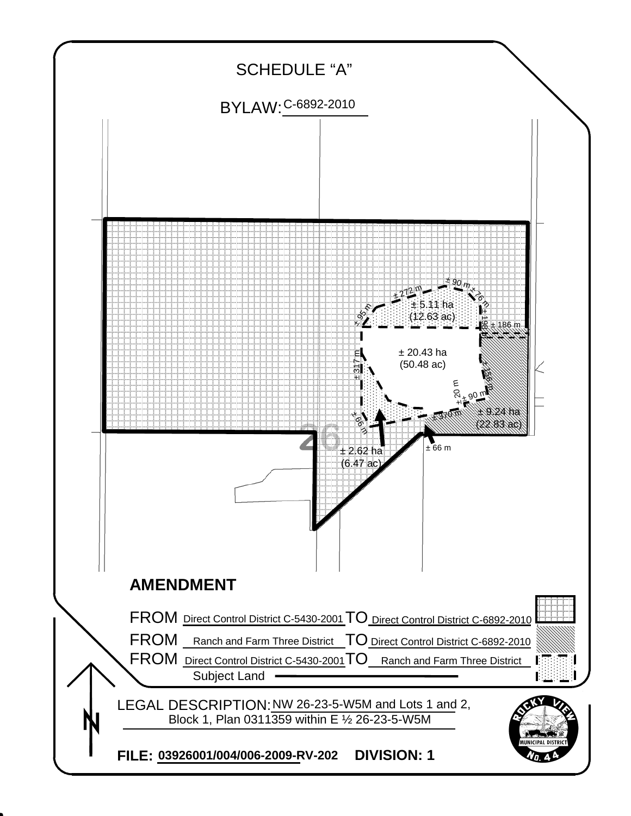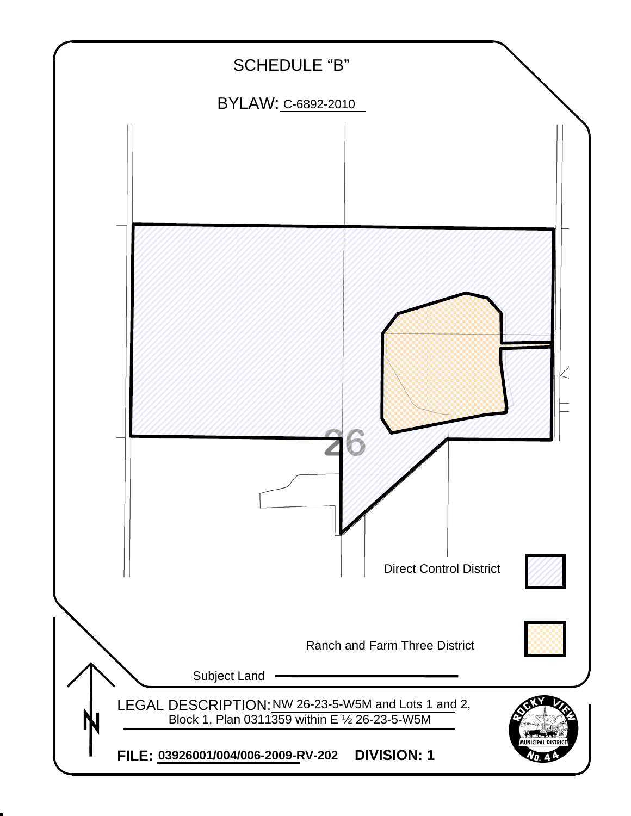